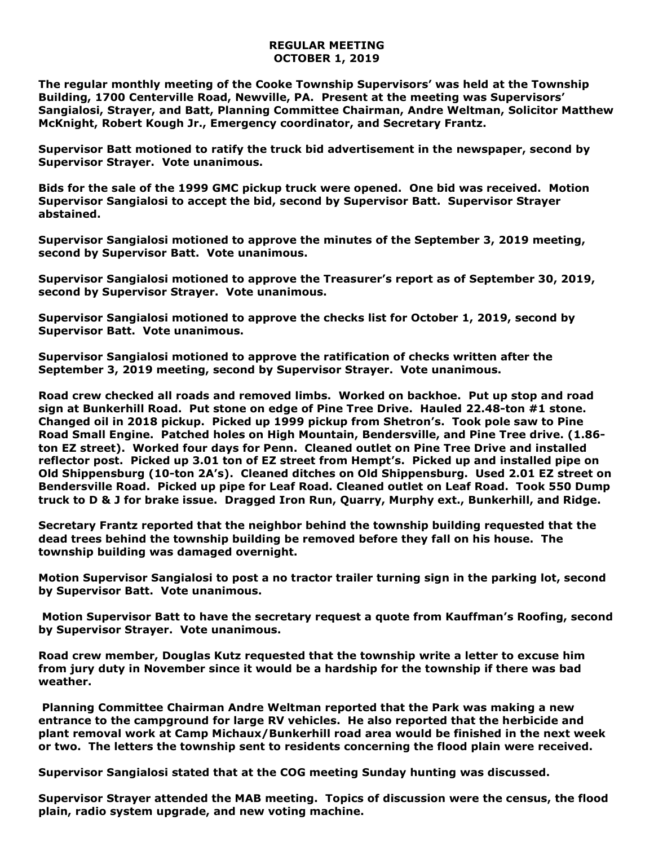## **REGULAR MEETING OCTOBER 1, 2019**

**The regular monthly meeting of the Cooke Township Supervisors' was held at the Township Building, 1700 Centerville Road, Newville, PA. Present at the meeting was Supervisors' Sangialosi, Strayer, and Batt, Planning Committee Chairman, Andre Weltman, Solicitor Matthew McKnight, Robert Kough Jr., Emergency coordinator, and Secretary Frantz.** 

**Supervisor Batt motioned to ratify the truck bid advertisement in the newspaper, second by Supervisor Strayer. Vote unanimous.**

**Bids for the sale of the 1999 GMC pickup truck were opened. One bid was received. Motion Supervisor Sangialosi to accept the bid, second by Supervisor Batt. Supervisor Strayer abstained.**

**Supervisor Sangialosi motioned to approve the minutes of the September 3, 2019 meeting, second by Supervisor Batt. Vote unanimous.** 

**Supervisor Sangialosi motioned to approve the Treasurer's report as of September 30, 2019, second by Supervisor Strayer. Vote unanimous.**

**Supervisor Sangialosi motioned to approve the checks list for October 1, 2019, second by Supervisor Batt. Vote unanimous.**

**Supervisor Sangialosi motioned to approve the ratification of checks written after the September 3, 2019 meeting, second by Supervisor Strayer. Vote unanimous.**

**Road crew checked all roads and removed limbs. Worked on backhoe. Put up stop and road sign at Bunkerhill Road. Put stone on edge of Pine Tree Drive. Hauled 22.48-ton #1 stone. Changed oil in 2018 pickup. Picked up 1999 pickup from Shetron's. Took pole saw to Pine Road Small Engine. Patched holes on High Mountain, Bendersville, and Pine Tree drive. (1.86 ton EZ street). Worked four days for Penn. Cleaned outlet on Pine Tree Drive and installed reflector post. Picked up 3.01 ton of EZ street from Hempt's. Picked up and installed pipe on Old Shippensburg (10-ton 2A's). Cleaned ditches on Old Shippensburg. Used 2.01 EZ street on Bendersville Road. Picked up pipe for Leaf Road. Cleaned outlet on Leaf Road. Took 550 Dump truck to D & J for brake issue. Dragged Iron Run, Quarry, Murphy ext., Bunkerhill, and Ridge.**

**Secretary Frantz reported that the neighbor behind the township building requested that the dead trees behind the township building be removed before they fall on his house. The township building was damaged overnight.** 

**Motion Supervisor Sangialosi to post a no tractor trailer turning sign in the parking lot, second by Supervisor Batt. Vote unanimous.** 

**Motion Supervisor Batt to have the secretary request a quote from Kauffman's Roofing, second by Supervisor Strayer. Vote unanimous.**

**Road crew member, Douglas Kutz requested that the township write a letter to excuse him from jury duty in November since it would be a hardship for the township if there was bad weather.**

**Planning Committee Chairman Andre Weltman reported that the Park was making a new entrance to the campground for large RV vehicles. He also reported that the herbicide and plant removal work at Camp Michaux/Bunkerhill road area would be finished in the next week or two. The letters the township sent to residents concerning the flood plain were received.** 

**Supervisor Sangialosi stated that at the COG meeting Sunday hunting was discussed.**

**Supervisor Strayer attended the MAB meeting. Topics of discussion were the census, the flood plain, radio system upgrade, and new voting machine.**